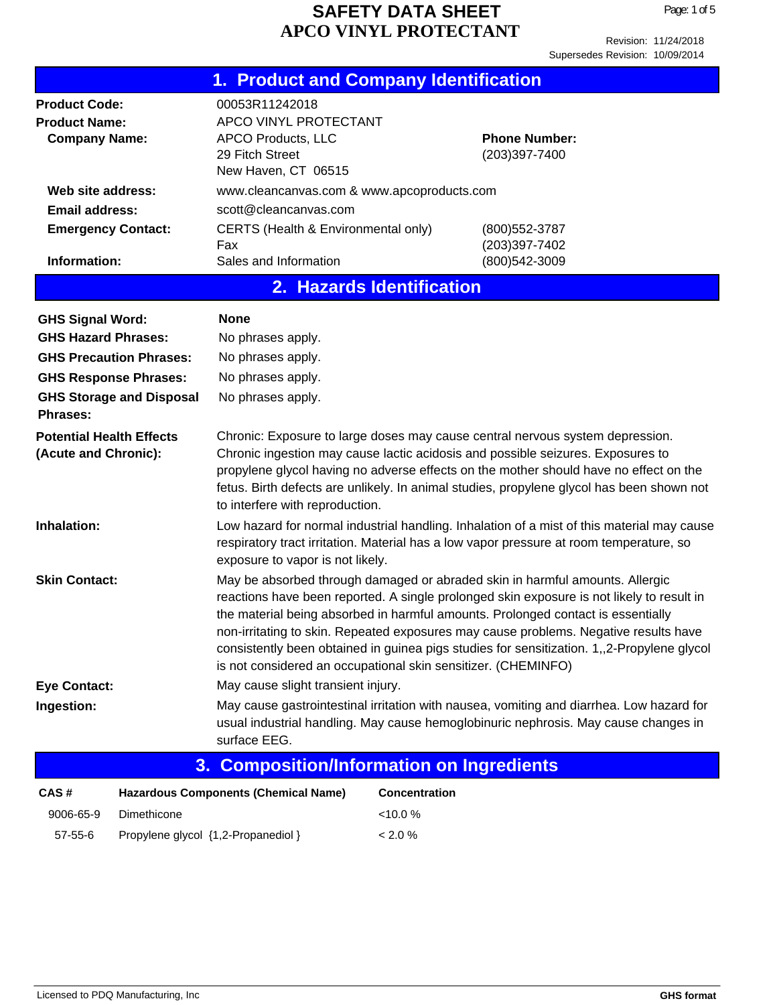| 1. Product and Company Identification                                                                                   |                                                                                                                                                                                                                                                                                                                                                                                                                                                                                                                      |                                       |  |  |
|-------------------------------------------------------------------------------------------------------------------------|----------------------------------------------------------------------------------------------------------------------------------------------------------------------------------------------------------------------------------------------------------------------------------------------------------------------------------------------------------------------------------------------------------------------------------------------------------------------------------------------------------------------|---------------------------------------|--|--|
| <b>Product Code:</b><br><b>Product Name:</b><br><b>Company Name:</b>                                                    | 00053R11242018<br>APCO VINYL PROTECTANT<br>APCO Products, LLC<br>29 Fitch Street<br>New Haven, CT 06515                                                                                                                                                                                                                                                                                                                                                                                                              | <b>Phone Number:</b><br>(203)397-7400 |  |  |
| Web site address:<br><b>Email address:</b><br><b>Emergency Contact:</b>                                                 | www.cleancanvas.com & www.apcoproducts.com<br>scott@cleancanvas.com<br>CERTS (Health & Environmental only)                                                                                                                                                                                                                                                                                                                                                                                                           | (800) 552-3787                        |  |  |
| Information:                                                                                                            | Fax<br>Sales and Information                                                                                                                                                                                                                                                                                                                                                                                                                                                                                         | (203)397-7402<br>(800) 542-3009       |  |  |
|                                                                                                                         | 2. Hazards Identification                                                                                                                                                                                                                                                                                                                                                                                                                                                                                            |                                       |  |  |
| <b>GHS Signal Word:</b><br><b>GHS Hazard Phrases:</b><br><b>GHS Precaution Phrases:</b><br><b>GHS Response Phrases:</b> | <b>None</b><br>No phrases apply.<br>No phrases apply.<br>No phrases apply.                                                                                                                                                                                                                                                                                                                                                                                                                                           |                                       |  |  |
| <b>GHS Storage and Disposal</b><br><b>Phrases:</b>                                                                      | No phrases apply.                                                                                                                                                                                                                                                                                                                                                                                                                                                                                                    |                                       |  |  |
| <b>Potential Health Effects</b><br>(Acute and Chronic):                                                                 | Chronic: Exposure to large doses may cause central nervous system depression.<br>Chronic ingestion may cause lactic acidosis and possible seizures. Exposures to<br>propylene glycol having no adverse effects on the mother should have no effect on the<br>fetus. Birth defects are unlikely. In animal studies, propylene glycol has been shown not<br>to interfere with reproduction.                                                                                                                            |                                       |  |  |
| Inhalation:                                                                                                             | Low hazard for normal industrial handling. Inhalation of a mist of this material may cause<br>respiratory tract irritation. Material has a low vapor pressure at room temperature, so<br>exposure to vapor is not likely.                                                                                                                                                                                                                                                                                            |                                       |  |  |
| <b>Skin Contact:</b>                                                                                                    | May be absorbed through damaged or abraded skin in harmful amounts. Allergic<br>reactions have been reported. A single prolonged skin exposure is not likely to result in<br>the material being absorbed in harmful amounts. Prolonged contact is essentially<br>non-irritating to skin. Repeated exposures may cause problems. Negative results have<br>consistently been obtained in guinea pigs studies for sensitization. 1,,2-Propylene glycol<br>is not considered an occupational skin sensitizer. (CHEMINFO) |                                       |  |  |
| <b>Eye Contact:</b>                                                                                                     | May cause slight transient injury.                                                                                                                                                                                                                                                                                                                                                                                                                                                                                   |                                       |  |  |
| Ingestion:                                                                                                              | May cause gastrointestinal irritation with nausea, vomiting and diarrhea. Low hazard for<br>usual industrial handling. May cause hemoglobinuric nephrosis. May cause changes in<br>surface EEG.                                                                                                                                                                                                                                                                                                                      |                                       |  |  |
| 3.                                                                                                                      | <b>Composition/Information on Ingredients</b>                                                                                                                                                                                                                                                                                                                                                                                                                                                                        |                                       |  |  |
| CAS#                                                                                                                    | <b>Hazardous Components (Chemical Name)</b><br><b>Concentration</b>                                                                                                                                                                                                                                                                                                                                                                                                                                                  |                                       |  |  |
| Dimethicone<br>9006-65-9                                                                                                | <10.0%                                                                                                                                                                                                                                                                                                                                                                                                                                                                                                               |                                       |  |  |

57-55-6 Propylene glycol {1,2-Propanediol } < 2.0 %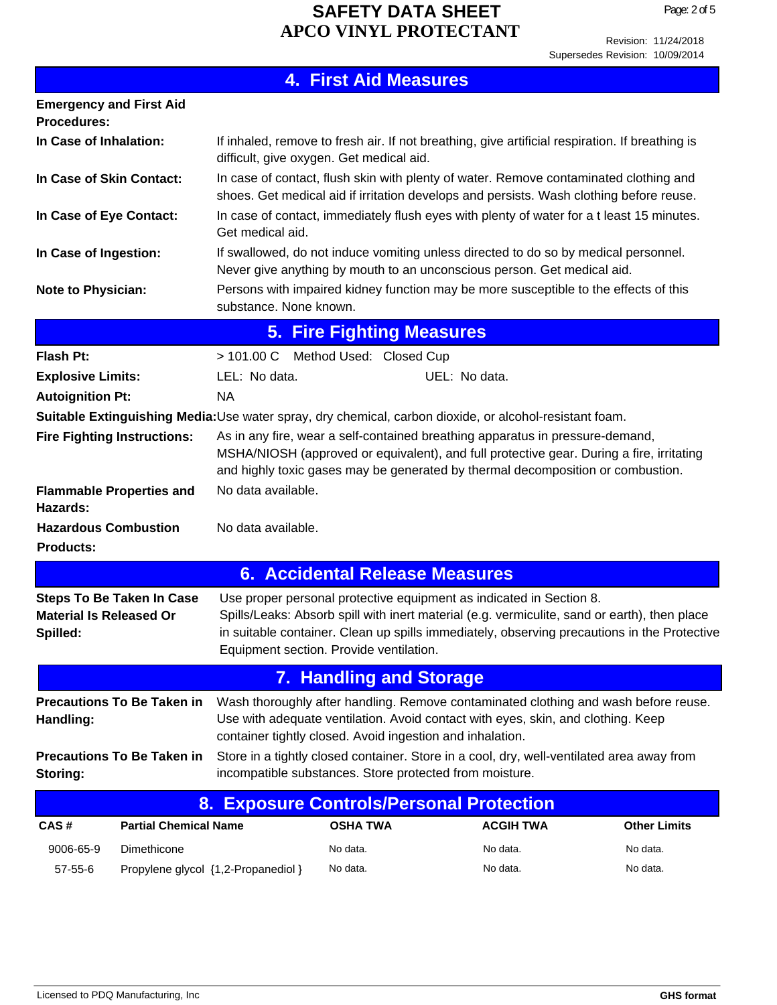|                                                                                                         |                                                                                                                                                                                                                                                              | <b>4. First Aid Measures</b>     |                  |                                                                                             |
|---------------------------------------------------------------------------------------------------------|--------------------------------------------------------------------------------------------------------------------------------------------------------------------------------------------------------------------------------------------------------------|----------------------------------|------------------|---------------------------------------------------------------------------------------------|
| <b>Emergency and First Aid</b><br><b>Procedures:</b>                                                    |                                                                                                                                                                                                                                                              |                                  |                  |                                                                                             |
| In Case of Inhalation:                                                                                  | If inhaled, remove to fresh air. If not breathing, give artificial respiration. If breathing is<br>difficult, give oxygen. Get medical aid.                                                                                                                  |                                  |                  |                                                                                             |
| In Case of Skin Contact:                                                                                | In case of contact, flush skin with plenty of water. Remove contaminated clothing and<br>shoes. Get medical aid if irritation develops and persists. Wash clothing before reuse.                                                                             |                                  |                  |                                                                                             |
| In Case of Eye Contact:                                                                                 | In case of contact, immediately flush eyes with plenty of water for a t least 15 minutes.<br>Get medical aid.                                                                                                                                                |                                  |                  |                                                                                             |
| In Case of Ingestion:                                                                                   | If swallowed, do not induce vomiting unless directed to do so by medical personnel.<br>Never give anything by mouth to an unconscious person. Get medical aid.                                                                                               |                                  |                  |                                                                                             |
| <b>Note to Physician:</b>                                                                               | Persons with impaired kidney function may be more susceptible to the effects of this<br>substance. None known.                                                                                                                                               |                                  |                  |                                                                                             |
|                                                                                                         |                                                                                                                                                                                                                                                              | <b>5. Fire Fighting Measures</b> |                  |                                                                                             |
| <b>Flash Pt:</b>                                                                                        | > 101.00 C Method Used: Closed Cup                                                                                                                                                                                                                           |                                  |                  |                                                                                             |
| <b>Explosive Limits:</b>                                                                                | LEL: No data.                                                                                                                                                                                                                                                |                                  | UEL: No data.    |                                                                                             |
| <b>Autoignition Pt:</b>                                                                                 | NA                                                                                                                                                                                                                                                           |                                  |                  |                                                                                             |
| Suitable Extinguishing Media: Use water spray, dry chemical, carbon dioxide, or alcohol-resistant foam. |                                                                                                                                                                                                                                                              |                                  |                  |                                                                                             |
| <b>Fire Fighting Instructions:</b>                                                                      | As in any fire, wear a self-contained breathing apparatus in pressure-demand,<br>MSHA/NIOSH (approved or equivalent), and full protective gear. During a fire, irritating<br>and highly toxic gases may be generated by thermal decomposition or combustion. |                                  |                  |                                                                                             |
| <b>Flammable Properties and</b><br>Hazards:                                                             | No data available.                                                                                                                                                                                                                                           |                                  |                  |                                                                                             |
| <b>Hazardous Combustion</b><br><b>Products:</b>                                                         | No data available.                                                                                                                                                                                                                                           |                                  |                  |                                                                                             |
|                                                                                                         | <b>6. Accidental Release Measures</b>                                                                                                                                                                                                                        |                                  |                  |                                                                                             |
| <b>Steps To Be Taken In Case</b><br><b>Material Is Released Or</b><br>Spilled:                          | Use proper personal protective equipment as indicated in Section 8.<br>Spills/Leaks: Absorb spill with inert material (e.g. vermiculite, sand or earth), then place<br>Equipment section. Provide ventilation.                                               |                                  |                  | in suitable container. Clean up spills immediately, observing precautions in the Protective |
|                                                                                                         |                                                                                                                                                                                                                                                              | <b>7. Handling and Storage</b>   |                  |                                                                                             |
| <b>Precautions To Be Taken in</b><br>Handling:                                                          | Wash thoroughly after handling. Remove contaminated clothing and wash before reuse.<br>Use with adequate ventilation. Avoid contact with eyes, skin, and clothing. Keep<br>container tightly closed. Avoid ingestion and inhalation.                         |                                  |                  |                                                                                             |
| <b>Precautions To Be Taken in</b><br>Storing:                                                           | Store in a tightly closed container. Store in a cool, dry, well-ventilated area away from<br>incompatible substances. Store protected from moisture.                                                                                                         |                                  |                  |                                                                                             |
|                                                                                                         | 8. Exposure Controls/Personal Protection                                                                                                                                                                                                                     |                                  |                  |                                                                                             |
| <b>Partial Chemical Name</b><br>CAS#                                                                    |                                                                                                                                                                                                                                                              | <b>OSHA TWA</b>                  | <b>ACGIH TWA</b> | <b>Other Limits</b>                                                                         |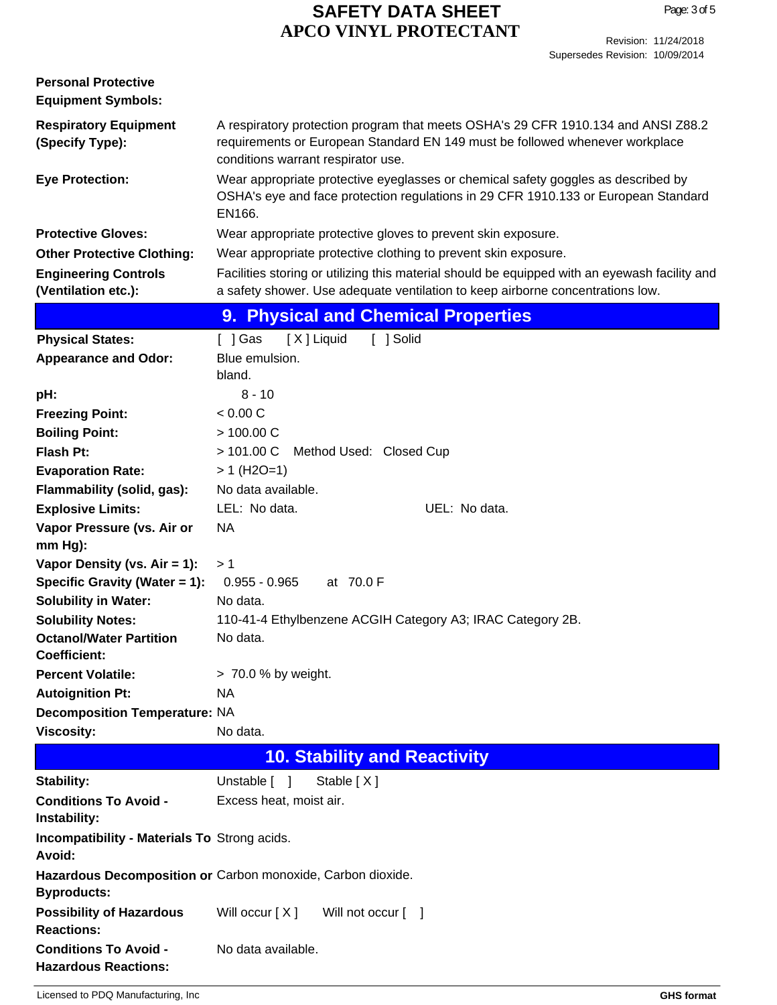| <b>Personal Protective</b><br><b>Equipment Symbols:</b>       |                                                                                                                                                                                                         |
|---------------------------------------------------------------|---------------------------------------------------------------------------------------------------------------------------------------------------------------------------------------------------------|
| <b>Respiratory Equipment</b><br>(Specify Type):               | A respiratory protection program that meets OSHA's 29 CFR 1910.134 and ANSI Z88.2<br>requirements or European Standard EN 149 must be followed whenever workplace<br>conditions warrant respirator use. |
| <b>Eye Protection:</b>                                        | Wear appropriate protective eyeglasses or chemical safety goggles as described by<br>OSHA's eye and face protection regulations in 29 CFR 1910.133 or European Standard<br>EN166.                       |
| <b>Protective Gloves:</b>                                     | Wear appropriate protective gloves to prevent skin exposure.                                                                                                                                            |
| <b>Other Protective Clothing:</b>                             | Wear appropriate protective clothing to prevent skin exposure.                                                                                                                                          |
| <b>Engineering Controls</b><br>(Ventilation etc.):            | Facilities storing or utilizing this material should be equipped with an eyewash facility and<br>a safety shower. Use adequate ventilation to keep airborne concentrations low.                         |
|                                                               | 9. Physical and Chemical Properties                                                                                                                                                                     |
| <b>Physical States:</b>                                       | [X] Liquid<br>[ ] Solid<br>[ ] Gas                                                                                                                                                                      |
| <b>Appearance and Odor:</b>                                   | Blue emulsion.<br>bland.                                                                                                                                                                                |
| pH:                                                           | $8 - 10$                                                                                                                                                                                                |
| <b>Freezing Point:</b>                                        | < 0.00 C                                                                                                                                                                                                |
| <b>Boiling Point:</b>                                         | > 100.00 C                                                                                                                                                                                              |
| <b>Flash Pt:</b>                                              | >101.00 C<br>Method Used: Closed Cup                                                                                                                                                                    |
| <b>Evaporation Rate:</b>                                      | $> 1$ (H2O=1)                                                                                                                                                                                           |
| Flammability (solid, gas):<br><b>Explosive Limits:</b>        | No data available.<br>LEL: No data.<br>UEL: No data.                                                                                                                                                    |
| Vapor Pressure (vs. Air or                                    | <b>NA</b>                                                                                                                                                                                               |
| $mm Hg$ ):                                                    |                                                                                                                                                                                                         |
| Vapor Density (vs. $Air = 1$ ):                               | >1                                                                                                                                                                                                      |
| Specific Gravity (Water = 1):                                 | $0.955 - 0.965$<br>at 70.0 F                                                                                                                                                                            |
| <b>Solubility in Water:</b>                                   | No data.                                                                                                                                                                                                |
| <b>Solubility Notes:</b>                                      | 110-41-4 Ethylbenzene ACGIH Category A3; IRAC Category 2B.                                                                                                                                              |
| <b>Octanol/Water Partition</b><br><b>Coefficient:</b>         | No data.                                                                                                                                                                                                |
| <b>Percent Volatile:</b>                                      | > 70.0 % by weight.                                                                                                                                                                                     |
| <b>Autoignition Pt:</b>                                       | NA                                                                                                                                                                                                      |
| <b>Decomposition Temperature: NA</b>                          |                                                                                                                                                                                                         |
| <b>Viscosity:</b>                                             | No data.                                                                                                                                                                                                |
|                                                               | <b>10. Stability and Reactivity</b>                                                                                                                                                                     |
| Stability:                                                    | Unstable [ ]<br>Stable [X]                                                                                                                                                                              |
| <b>Conditions To Avoid -</b><br>Instability:                  | Excess heat, moist air.                                                                                                                                                                                 |
| <b>Incompatibility - Materials To Strong acids.</b><br>Avoid: |                                                                                                                                                                                                         |
| <b>Byproducts:</b>                                            | Hazardous Decomposition or Carbon monoxide, Carbon dioxide.                                                                                                                                             |
| <b>Possibility of Hazardous</b><br><b>Reactions:</b>          | Will occur [X]<br>Will not occur [ ]                                                                                                                                                                    |
| <b>Conditions To Avoid -</b><br><b>Hazardous Reactions:</b>   | No data available.                                                                                                                                                                                      |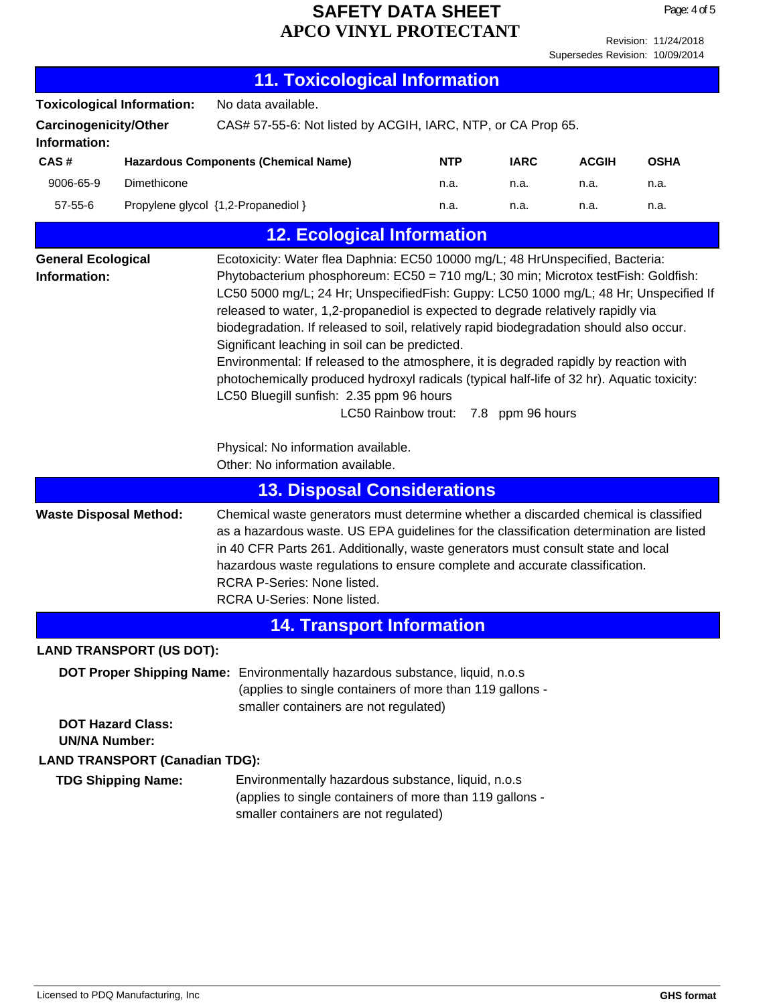Page: 4 of 5

Supersedes Revision: 10/09/2014

| <b>11. Toxicological Information</b>         |                                   |                                                                                                                                                                                                                                                                                                                                                                                                                                                                                                                                                                                                                                                                                                                                                                                                               |            |             |              |             |
|----------------------------------------------|-----------------------------------|---------------------------------------------------------------------------------------------------------------------------------------------------------------------------------------------------------------------------------------------------------------------------------------------------------------------------------------------------------------------------------------------------------------------------------------------------------------------------------------------------------------------------------------------------------------------------------------------------------------------------------------------------------------------------------------------------------------------------------------------------------------------------------------------------------------|------------|-------------|--------------|-------------|
| <b>Toxicological Information:</b>            |                                   | No data available.                                                                                                                                                                                                                                                                                                                                                                                                                                                                                                                                                                                                                                                                                                                                                                                            |            |             |              |             |
| <b>Carcinogenicity/Other</b><br>Information: |                                   | CAS# 57-55-6: Not listed by ACGIH, IARC, NTP, or CA Prop 65.                                                                                                                                                                                                                                                                                                                                                                                                                                                                                                                                                                                                                                                                                                                                                  |            |             |              |             |
| CAS#                                         |                                   | <b>Hazardous Components (Chemical Name)</b>                                                                                                                                                                                                                                                                                                                                                                                                                                                                                                                                                                                                                                                                                                                                                                   | <b>NTP</b> | <b>IARC</b> | <b>ACGIH</b> | <b>OSHA</b> |
| 9006-65-9<br>Dimethicone                     |                                   |                                                                                                                                                                                                                                                                                                                                                                                                                                                                                                                                                                                                                                                                                                                                                                                                               | n.a.       | n.a.        | n.a.         | n.a.        |
| $57 - 55 - 6$                                |                                   | Propylene glycol {1,2-Propanediol }                                                                                                                                                                                                                                                                                                                                                                                                                                                                                                                                                                                                                                                                                                                                                                           | n.a.       | n.a.        | n.a.         | n.a.        |
|                                              | <b>12. Ecological Information</b> |                                                                                                                                                                                                                                                                                                                                                                                                                                                                                                                                                                                                                                                                                                                                                                                                               |            |             |              |             |
| <b>General Ecological</b><br>Information:    |                                   | Ecotoxicity: Water flea Daphnia: EC50 10000 mg/L; 48 HrUnspecified, Bacteria:<br>Phytobacterium phosphoreum: EC50 = 710 mg/L; 30 min; Microtox testFish: Goldfish:<br>LC50 5000 mg/L; 24 Hr; UnspecifiedFish: Guppy: LC50 1000 mg/L; 48 Hr; Unspecified If<br>released to water, 1,2-propanediol is expected to degrade relatively rapidly via<br>biodegradation. If released to soil, relatively rapid biodegradation should also occur.<br>Significant leaching in soil can be predicted.<br>Environmental: If released to the atmosphere, it is degraded rapidly by reaction with<br>photochemically produced hydroxyl radicals (typical half-life of 32 hr). Aquatic toxicity:<br>LC50 Bluegill sunfish: 2.35 ppm 96 hours<br>LC50 Rainbow trout: 7.8 ppm 96 hours<br>Physical: No information available. |            |             |              |             |
|                                              |                                   | Other: No information available.                                                                                                                                                                                                                                                                                                                                                                                                                                                                                                                                                                                                                                                                                                                                                                              |            |             |              |             |
|                                              |                                   | <b>13. Disposal Considerations</b>                                                                                                                                                                                                                                                                                                                                                                                                                                                                                                                                                                                                                                                                                                                                                                            |            |             |              |             |
| <b>Waste Disposal Method:</b>                |                                   | Chemical waste generators must determine whether a discarded chemical is classified<br>as a hazardous waste. US EPA guidelines for the classification determination are listed<br>in 40 CFR Parts 261. Additionally, waste generators must consult state and local<br>hazardous waste regulations to ensure complete and accurate classification.<br>RCRA P-Series: None listed.<br>RCRA U-Series: None listed.                                                                                                                                                                                                                                                                                                                                                                                               |            |             |              |             |
| <b>14. Transport Information</b>             |                                   |                                                                                                                                                                                                                                                                                                                                                                                                                                                                                                                                                                                                                                                                                                                                                                                                               |            |             |              |             |
|                                              | <b>LAND TRANSPORT (US DOT):</b>   |                                                                                                                                                                                                                                                                                                                                                                                                                                                                                                                                                                                                                                                                                                                                                                                                               |            |             |              |             |
| <b>UN/NA Number:</b>                         | <b>DOT Hazard Class:</b>          | DOT Proper Shipping Name: Environmentally hazardous substance, liquid, n.o.s<br>(applies to single containers of more than 119 gallons -<br>smaller containers are not regulated)                                                                                                                                                                                                                                                                                                                                                                                                                                                                                                                                                                                                                             |            |             |              |             |
| <b>LAND TRANSPORT (Canadian TDG):</b>        |                                   |                                                                                                                                                                                                                                                                                                                                                                                                                                                                                                                                                                                                                                                                                                                                                                                                               |            |             |              |             |
|                                              | <b>TDG Shipping Name:</b>         | Environmentally hazardous substance, liquid, n.o.s<br>(applies to single containers of more than 119 gallons -<br>smaller containers are not regulated)                                                                                                                                                                                                                                                                                                                                                                                                                                                                                                                                                                                                                                                       |            |             |              |             |